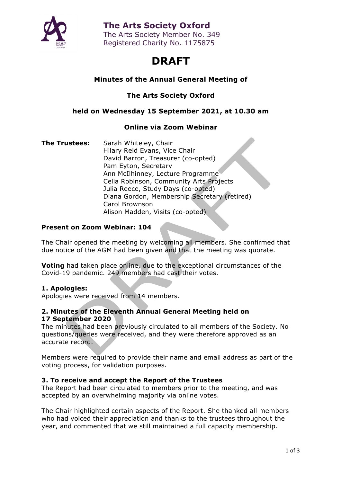

## **The Arts Society Oxford**

The Arts Society Member No. 349 Registered Charity No. 1175875

# **DRAFT**

## **Minutes of the Annual General Meeting of**

**The Arts Society Oxford**

#### **held on Wednesday 15 September 2021, at 10.30 am**

### **Online via Zoom Webinar**

**The Trustees:** Sarah Whiteley, Chair Hilary Reid Evans, Vice Chair David Barron, Treasurer (co-opted) Pam Eyton, Secretary Ann McIlhinney, Lecture Programme Celia Robinson, Community Arts Projects Julia Reece, Study Days (co-opted) Diana Gordon, Membership Secretary (retired) Carol Brownson Alison Madden, Visits (co-opted)

#### **Present on Zoom Webinar: 104**

The Chair opened the meeting by welcoming all members. She confirmed that due notice of the AGM had been given and that the meeting was quorate.

**Voting** had taken place online, due to the exceptional circumstances of the Covid-19 pandemic. 249 members had cast their votes.

#### **1. Apologies:**

Apologies were received from 14 members.

#### **2. Minutes of the Eleventh Annual General Meeting held on 17 September 2020**

The minutes had been previously circulated to all members of the Society. No questions/queries were received, and they were therefore approved as an accurate record.

Members were required to provide their name and email address as part of the voting process, for validation purposes.

#### **3. To receive and accept the Report of the Trustees**

The Report had been circulated to members prior to the meeting, and was accepted by an overwhelming majority via online votes.

The Chair highlighted certain aspects of the Report. She thanked all members who had voiced their appreciation and thanks to the trustees throughout the year, and commented that we still maintained a full capacity membership.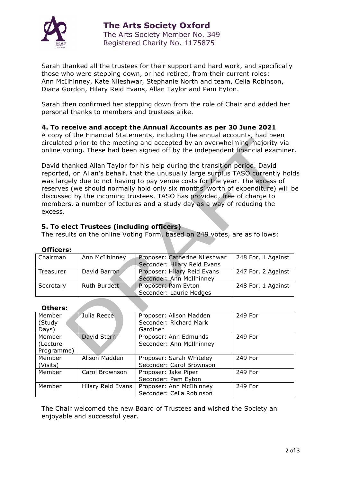

Sarah thanked all the trustees for their support and hard work, and specifically those who were stepping down, or had retired, from their current roles: Ann McIlhinney, Kate Nileshwar, Stephanie North and team, Celia Robinson, Diana Gordon, Hilary Reid Evans, Allan Taylor and Pam Eyton.

Sarah then confirmed her stepping down from the role of Chair and added her personal thanks to members and trustees alike.

#### **4. To receive and accept the Annual Accounts as per 30 June 2021**

A copy of the Financial Statements, including the annual accounts, had been circulated prior to the meeting and accepted by an overwhelming majority via online voting. These had been signed off by the independent financial examiner.

David thanked Allan Taylor for his help during the transition period. David reported, on Allan's behalf, that the unusually large surplus TASO currently holds was largely due to not having to pay venue costs for the year. The excess of reserves (we should normally hold only six months' worth of expenditure) will be discussed by the incoming trustees. TASO has provided, free of charge to members, a number of lectures and a study day as a way of reducing the excess.

#### **5. To elect Trustees (including officers)**

The results on the online Voting Form, based on 249 votes, are as follows:

#### **Officers:**

| Chairman  | Ann McIlhinney | Proposer: Catherine Nileshwar | 248 For, 1 Against |
|-----------|----------------|-------------------------------|--------------------|
|           |                | Seconder: Hilary Reid Evans   |                    |
| Treasurer | David Barron   | Proposer: Hilary Reid Evans   | 247 For, 2 Against |
|           |                | Seconder: Ann McIlhinney      |                    |
| Secretary | Ruth Burdett   | Proposer: Pam Eyton           | 248 For, 1 Against |
|           |                | Seconder: Laurie Hedges       |                    |

#### **Others:**

| Member     | Julia Reece       | Proposer: Alison Madden  | 249 For |
|------------|-------------------|--------------------------|---------|
| (Study     |                   | Seconder: Richard Mark   |         |
| Days)      |                   | Gardiner                 |         |
| Member     | David Stern       | Proposer: Ann Edmunds    | 249 For |
| (Lecture   |                   | Seconder: Ann McIlhinney |         |
| Programme) |                   |                          |         |
| Member     | Alison Madden     | Proposer: Sarah Whiteley | 249 For |
| (Visits)   |                   | Seconder: Carol Brownson |         |
| Member     | Carol Brownson    | Proposer: Jake Piper     | 249 For |
|            |                   | Seconder: Pam Eyton      |         |
| Member     | Hilary Reid Evans | Proposer: Ann McIlhinney | 249 For |
|            |                   | Seconder: Celia Robinson |         |

The Chair welcomed the new Board of Trustees and wished the Society an enjoyable and successful year.